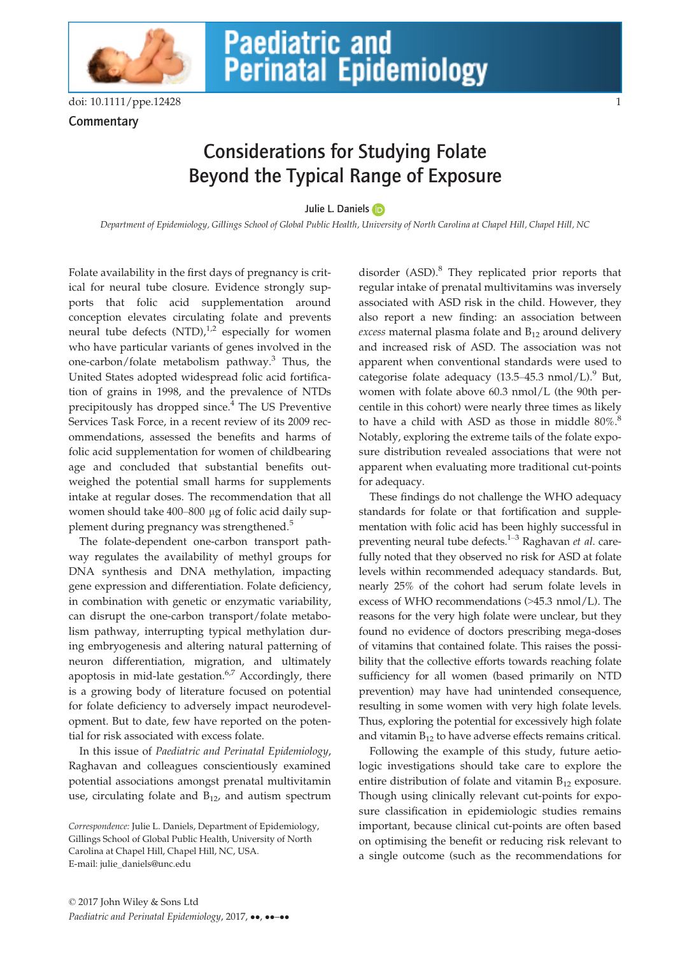

**Commentary** 

## Considerations for Studying Folate Beyond the Typical Range of Exposure

Julie L. Daniel[s](http://orcid.org/0000-0002-9658-3743)

Department of Epidemiology, Gillings School of Global Public Health, University of North Carolina at Chapel Hill, Chapel Hill, NC

Folate availability in the first days of pregnancy is critical for neural tube closure. Evidence strongly supports that folic acid supplementation around conception elevates circulating folate and prevents neural tube defects  $(NTD)<sub>1</sub><sup>1,2</sup>$  especially for women who have particular variants of genes involved in the one-carbon/folate metabolism pathway.<sup>3</sup> Thus, the United States adopted widespread folic acid fortification of grains in 1998, and the prevalence of NTDs precipitously has dropped since.<sup>4</sup> The US Preventive Services Task Force, in a recent review of its 2009 recommendations, assessed the benefits and harms of folic acid supplementation for women of childbearing age and concluded that substantial benefits outweighed the potential small harms for supplements intake at regular doses. The recommendation that all women should take 400–800 µg of folic acid daily supplement during pregnancy was strengthened.<sup>5</sup>

The folate-dependent one-carbon transport pathway regulates the availability of methyl groups for DNA synthesis and DNA methylation, impacting gene expression and differentiation. Folate deficiency, in combination with genetic or enzymatic variability, can disrupt the one-carbon transport/folate metabolism pathway, interrupting typical methylation during embryogenesis and altering natural patterning of neuron differentiation, migration, and ultimately apoptosis in mid-late gestation. $6.7$  Accordingly, there is a growing body of literature focused on potential for folate deficiency to adversely impact neurodevelopment. But to date, few have reported on the potential for risk associated with excess folate.

In this issue of Paediatric and Perinatal Epidemiology, Raghavan and colleagues conscientiously examined potential associations amongst prenatal multivitamin use, circulating folate and  $B_{12}$ , and autism spectrum disorder (ASD).<sup>8</sup> They replicated prior reports that regular intake of prenatal multivitamins was inversely associated with ASD risk in the child. However, they also report a new finding: an association between excess maternal plasma folate and  $B_{12}$  around delivery and increased risk of ASD. The association was not apparent when conventional standards were used to categorise folate adequacy  $(13.5-45.3 \text{ nmol/L})$ .<sup>9</sup> But, women with folate above 60.3 nmol/L (the 90th percentile in this cohort) were nearly three times as likely to have a child with ASD as those in middle  $80\%$ .<sup>8</sup> Notably, exploring the extreme tails of the folate exposure distribution revealed associations that were not apparent when evaluating more traditional cut-points for adequacy.

These findings do not challenge the WHO adequacy standards for folate or that fortification and supplementation with folic acid has been highly successful in preventing neural tube defects. $1-3$  Raghavan et al. carefully noted that they observed no risk for ASD at folate levels within recommended adequacy standards. But, nearly 25% of the cohort had serum folate levels in excess of WHO recommendations (>45.3 nmol/L). The reasons for the very high folate were unclear, but they found no evidence of doctors prescribing mega-doses of vitamins that contained folate. This raises the possibility that the collective efforts towards reaching folate sufficiency for all women (based primarily on NTD prevention) may have had unintended consequence, resulting in some women with very high folate levels. Thus, exploring the potential for excessively high folate and vitamin  $B_{12}$  to have adverse effects remains critical.

Following the example of this study, future aetiologic investigations should take care to explore the entire distribution of folate and vitamin  $B_{12}$  exposure. Though using clinically relevant cut-points for exposure classification in epidemiologic studies remains important, because clinical cut-points are often based on optimising the benefit or reducing risk relevant to a single outcome (such as the recommendations for

Correspondence: Julie L. Daniels, Department of Epidemiology, Gillings School of Global Public Health, University of North Carolina at Chapel Hill, Chapel Hill, NC, USA. E-mail: julie\_daniels@unc.edu